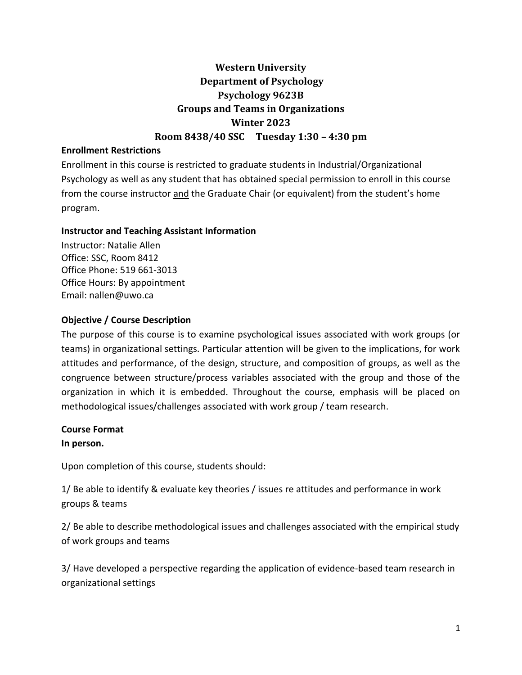# **Western University Department of Psychology Psychology 9623B Groups and Teams in Organizations Winter 2023 Room 8438/40 SSC Tuesday 1:30 – 4:30 pm**

### **Enrollment Restrictions**

Enrollment in this course is restricted to graduate students in Industrial/Organizational Psychology as well as any student that has obtained special permission to enroll in this course from the course instructor and the Graduate Chair (or equivalent) from the student's home program.

### **Instructor and Teaching Assistant Information**

Instructor: Natalie Allen Office: SSC, Room 8412 Office Phone: 519 661-3013 Office Hours: By appointment Email: nallen@uwo.ca

### **Objective / Course Description**

The purpose of this course is to examine psychological issues associated with work groups (or teams) in organizational settings. Particular attention will be given to the implications, for work attitudes and performance, of the design, structure, and composition of groups, as well as the congruence between structure/process variables associated with the group and those of the organization in which it is embedded. Throughout the course, emphasis will be placed on methodological issues/challenges associated with work group / team research.

### **Course Format**

## **In person.**

Upon completion of this course, students should:

1/ Be able to identify & evaluate key theories / issues re attitudes and performance in work groups & teams

2/ Be able to describe methodological issues and challenges associated with the empirical study of work groups and teams

3/ Have developed a perspective regarding the application of evidence-based team research in organizational settings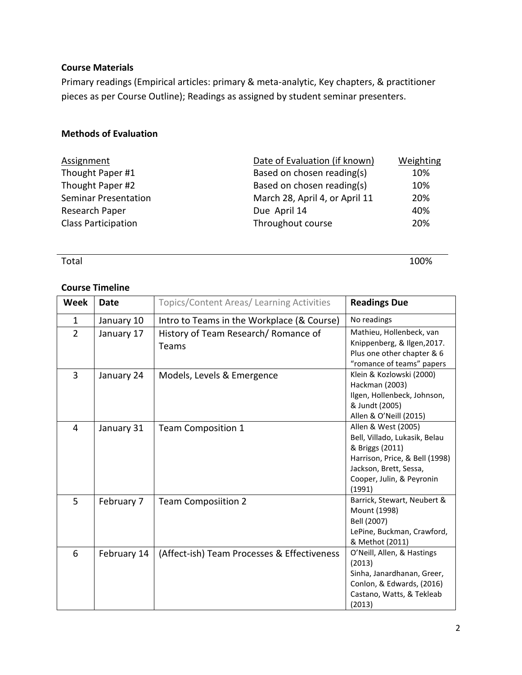### **Course Materials**

Primary readings (Empirical articles: primary & meta-analytic, Key chapters, & practitioner pieces as per Course Outline); Readings as assigned by student seminar presenters.

## **Methods of Evaluation**

| Assignment                  | Date of Evaluation (if known)  | Weighting |
|-----------------------------|--------------------------------|-----------|
| Thought Paper #1            | Based on chosen reading(s)     | 10%       |
| Thought Paper #2            | Based on chosen reading(s)     | 10%       |
| <b>Seminar Presentation</b> | March 28, April 4, or April 11 | 20%       |
| Research Paper              | Due April 14                   | 40%       |
| <b>Class Participation</b>  | Throughout course              | 20%       |

Total 100%

## **Course Timeline**

| <b>Week</b>    | Date        | Topics/Content Areas/ Learning Activities     | <b>Readings Due</b>                                                                                                                                                        |  |
|----------------|-------------|-----------------------------------------------|----------------------------------------------------------------------------------------------------------------------------------------------------------------------------|--|
| $\mathbf{1}$   | January 10  | Intro to Teams in the Workplace (& Course)    | No readings                                                                                                                                                                |  |
| $\overline{2}$ | January 17  | History of Team Research/ Romance of<br>Teams | Mathieu, Hollenbeck, van<br>Knippenberg, & Ilgen, 2017.<br>Plus one other chapter & 6<br>"romance of teams" papers                                                         |  |
| 3              | January 24  | Models, Levels & Emergence                    | Klein & Kozlowski (2000)<br>Hackman (2003)<br>Ilgen, Hollenbeck, Johnson,<br>& Jundt (2005)<br>Allen & O'Neill (2015)                                                      |  |
| 4              | January 31  | <b>Team Composition 1</b>                     | Allen & West (2005)<br>Bell, Villado, Lukasik, Belau<br>& Briggs (2011)<br>Harrison, Price, & Bell (1998)<br>Jackson, Brett, Sessa,<br>Cooper, Julin, & Peyronin<br>(1991) |  |
| 5              | February 7  | <b>Team Composiition 2</b>                    | Barrick, Stewart, Neubert &<br>Mount (1998)<br>Bell (2007)<br>LePine, Buckman, Crawford,<br>& Methot (2011)                                                                |  |
| 6              | February 14 | (Affect-ish) Team Processes & Effectiveness   | O'Neill, Allen, & Hastings<br>(2013)<br>Sinha, Janardhanan, Greer,<br>Conlon, & Edwards, (2016)<br>Castano, Watts, & Tekleab<br>(2013)                                     |  |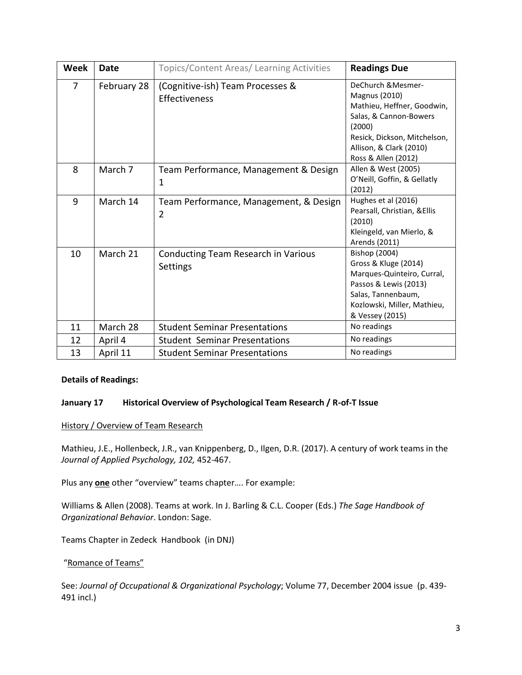| <b>Week</b> | <b>Date</b> | Topics/Content Areas/ Learning Activities                | <b>Readings Due</b>                                                                                                                                                                            |
|-------------|-------------|----------------------------------------------------------|------------------------------------------------------------------------------------------------------------------------------------------------------------------------------------------------|
| 7           | February 28 | (Cognitive-ish) Team Processes &<br>Effectiveness        | DeChurch & Mesmer-<br><b>Magnus (2010)</b><br>Mathieu, Heffner, Goodwin,<br>Salas, & Cannon-Bowers<br>(2000)<br>Resick, Dickson, Mitchelson,<br>Allison, & Clark (2010)<br>Ross & Allen (2012) |
| 8           | March 7     | Team Performance, Management & Design<br>1               | Allen & West (2005)<br>O'Neill, Goffin, & Gellatly<br>(2012)                                                                                                                                   |
| 9           | March 14    | Team Performance, Management, & Design<br>$\overline{2}$ | Hughes et al (2016)<br>Pearsall, Christian, & Ellis<br>(2010)<br>Kleingeld, van Mierlo, &<br>Arends (2011)                                                                                     |
| 10          | March 21    | Conducting Team Research in Various<br>Settings          | Bishop (2004)<br>Gross & Kluge (2014)<br>Marques-Quinteiro, Curral,<br>Passos & Lewis (2013)<br>Salas, Tannenbaum,<br>Kozlowski, Miller, Mathieu,<br>& Vessey (2015)                           |
| 11          | March 28    | <b>Student Seminar Presentations</b>                     | No readings                                                                                                                                                                                    |
| 12          | April 4     | <b>Student Seminar Presentations</b>                     | No readings                                                                                                                                                                                    |
| 13          | April 11    | <b>Student Seminar Presentations</b>                     | No readings                                                                                                                                                                                    |

#### **Details of Readings:**

#### **January 17 Historical Overview of Psychological Team Research / R-of-T Issue**

#### History / Overview of Team Research

Mathieu, J.E., Hollenbeck, J.R., van Knippenberg, D., Ilgen, D.R. (2017). A century of work teams in the *Journal of Applied Psychology, 102,* 452-467.

Plus any **one** other "overview" teams chapter…. For example:

Williams & Allen (2008). Teams at work. In J. Barling & C.L. Cooper (Eds.) *The Sage Handbook of Organizational Behavior*. London: Sage.

Teams Chapter in Zedeck Handbook (in DNJ)

#### "Romance of Teams"

See: *Journal of Occupational & Organizational Psychology*; Volume 77, December 2004 issue (p. 439- 491 incl.)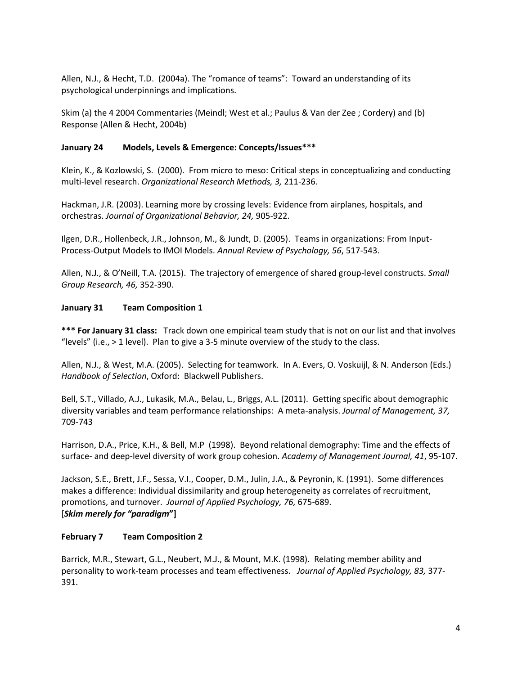Allen, N.J., & Hecht, T.D. (2004a). The "romance of teams": Toward an understanding of its psychological underpinnings and implications.

Skim (a) the 4 2004 Commentaries (Meindl; West et al.; Paulus & Van der Zee ; Cordery) and (b) Response (Allen & Hecht, 2004b)

#### **January 24 Models, Levels & Emergence: Concepts/Issues\*\*\***

Klein, K., & Kozlowski, S. (2000). From micro to meso: Critical steps in conceptualizing and conducting multi-level research. *Organizational Research Methods, 3,* 211-236.

Hackman, J.R. (2003). Learning more by crossing levels: Evidence from airplanes, hospitals, and orchestras. *Journal of Organizational Behavior, 24,* 905-922.

Ilgen, D.R., Hollenbeck, J.R., Johnson, M., & Jundt, D. (2005). Teams in organizations: From Input-Process-Output Models to IMOI Models. *Annual Review of Psychology, 56*, 517-543.

Allen, N.J., & O'Neill, T.A. (2015). The trajectory of emergence of shared group-level constructs. *Small Group Research, 46,* 352-390.

#### **January 31 Team Composition 1**

**\*\*\* For January 31 class:** Track down one empirical team study that is not on our list and that involves "levels" (i.e., > 1 level). Plan to give a 3-5 minute overview of the study to the class.

Allen, N.J., & West, M.A. (2005). Selecting for teamwork. In A. Evers, O. Voskuijl, & N. Anderson (Eds.) *Handbook of Selection*, Oxford: Blackwell Publishers.

Bell, S.T., Villado, A.J., Lukasik, M.A., Belau, L., Briggs, A.L. (2011). Getting specific about demographic diversity variables and team performance relationships: A meta-analysis. *Journal of Management, 37,* 709-743

Harrison, D.A., Price, K.H., & Bell, M.P (1998). Beyond relational demography: Time and the effects of surface- and deep-level diversity of work group cohesion. *Academy of Management Journal, 41*, 95-107.

Jackson, S.E., Brett, J.F., Sessa, V.I., Cooper, D.M., Julin, J.A., & Peyronin, K. (1991). Some differences makes a difference: Individual dissimilarity and group heterogeneity as correlates of recruitment, promotions, and turnover. *Journal of Applied Psychology, 76,* 675-689. [*Skim merely for "paradigm***"]**

#### **February 7 Team Composition 2**

Barrick, M.R., Stewart, G.L., Neubert, M.J., & Mount, M.K. (1998). Relating member ability and personality to work-team processes and team effectiveness. *Journal of Applied Psychology, 83,* 377- 391.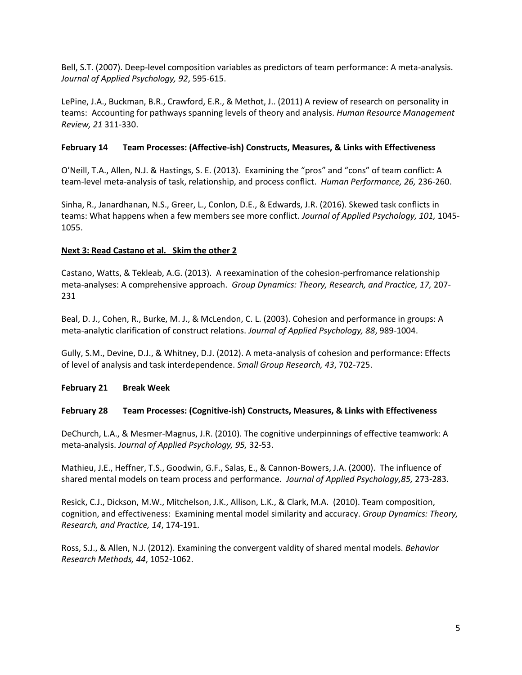Bell, S.T. (2007). Deep-level composition variables as predictors of team performance: A meta-analysis. *Journal of Applied Psychology, 92*, 595-615.

LePine, J.A., Buckman, B.R., Crawford, E.R., & Methot, J.. (2011) A review of research on personality in teams: Accounting for pathways spanning levels of theory and analysis. *Human Resource Management Review, 21* 311-330.

#### **February 14 Team Processes: (Affective-ish) Constructs, Measures, & Links with Effectiveness**

O'Neill, T.A., Allen, N.J. & Hastings, S. E. (2013). Examining the "pros" and "cons" of team conflict: A team-level meta-analysis of task, relationship, and process conflict. *Human Performance, 26,* 236-260.

Sinha, R., Janardhanan, N.S., Greer, L., Conlon, D.E., & Edwards, J.R. (2016). Skewed task conflicts in teams: What happens when a few members see more conflict. *Journal of Applied Psychology, 101,* 1045- 1055.

#### **Next 3: Read Castano et al. Skim the other 2**

Castano, Watts, & Tekleab, A.G. (2013). A reexamination of the cohesion-perfromance relationship meta-analyses: A comprehensive approach. *Group Dynamics: Theory, Research, and Practice, 17,* 207- 231

Beal, D. J., Cohen, R., Burke, M. J., & McLendon, C. L. (2003). Cohesion and performance in groups: A meta-analytic clarification of construct relations. *Journal of Applied Psychology, 88*, 989-1004.

Gully, S.M., Devine, D.J., & Whitney, D.J. (2012). A meta-analysis of cohesion and performance: Effects of level of analysis and task interdependence. *Small Group Research, 43*, 702-725.

### **February 21 Break Week**

#### **February 28 Team Processes: (Cognitive-ish) Constructs, Measures, & Links with Effectiveness**

DeChurch, L.A., & Mesmer-Magnus, J.R. (2010). The cognitive underpinnings of effective teamwork: A meta-analysis. *Journal of Applied Psychology, 95,* 32-53.

Mathieu, J.E., Heffner, T.S., Goodwin, G.F., Salas, E., & Cannon-Bowers, J.A. (2000). The influence of shared mental models on team process and performance. *Journal of Applied Psychology,85,* 273-283.

Resick, C.J., Dickson, M.W., Mitchelson, J.K., Allison, L.K., & Clark, M.A. (2010). Team composition, cognition, and effectiveness: Examining mental model similarity and accuracy. *Group Dynamics: Theory, Research, and Practice, 14*, 174-191.

Ross, S.J., & Allen, N.J. (2012). Examining the convergent valdity of shared mental models. *Behavior Research Methods, 44*, 1052-1062.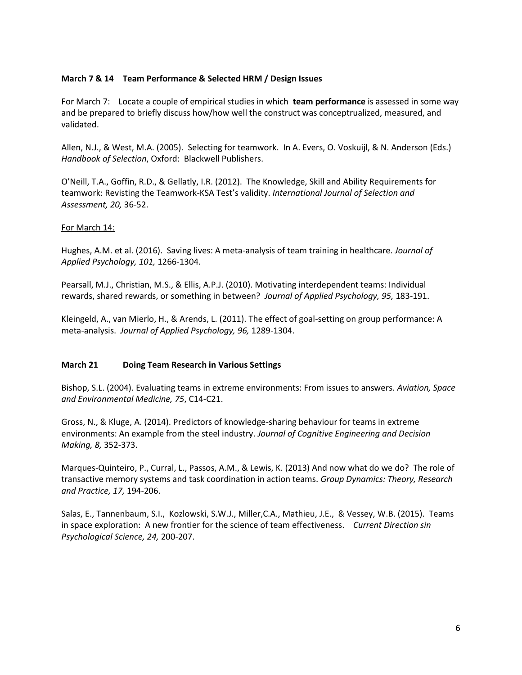#### **March 7 & 14 Team Performance & Selected HRM / Design Issues**

For March 7: Locate a couple of empirical studies in which **team performance** is assessed in some way and be prepared to briefly discuss how/how well the construct was conceptrualized, measured, and validated.

Allen, N.J., & West, M.A. (2005). Selecting for teamwork. In A. Evers, O. Voskuijl, & N. Anderson (Eds.) *Handbook of Selection*, Oxford: Blackwell Publishers.

O'Neill, T.A., Goffin, R.D., & Gellatly, I.R. (2012). The Knowledge, Skill and Ability Requirements for teamwork: Revisting the Teamwork-KSA Test's validity. *International Journal of Selection and Assessment, 20,* 36-52.

#### For March 14:

Hughes, A.M. et al. (2016). Saving lives: A meta-analysis of team training in healthcare. *Journal of Applied Psychology, 101,* 1266-1304.

Pearsall, M.J., Christian, M.S., & Ellis, A.P.J. (2010). Motivating interdependent teams: Individual rewards, shared rewards, or something in between? *Journal of Applied Psychology, 95,* 183-191.

Kleingeld, A., van Mierlo, H., & Arends, L. (2011). The effect of goal-setting on group performance: A meta-analysis. *Journal of Applied Psychology, 96,* 1289-1304.

#### **March 21 Doing Team Research in Various Settings**

Bishop, S.L. (2004). Evaluating teams in extreme environments: From issues to answers. *Aviation, Space and Environmental Medicine, 75*, C14-C21.

Gross, N., & Kluge, A. (2014). Predictors of knowledge-sharing behaviour for teams in extreme environments: An example from the steel industry. *Journal of Cognitive Engineering and Decision Making, 8,* 352-373.

Marques-Quinteiro, P., Curral, L., Passos, A.M., & Lewis, K. (2013) And now what do we do? The role of transactive memory systems and task coordination in action teams. *Group Dynamics: Theory, Research and Practice, 17,* 194-206.

Salas, E., Tannenbaum, S.I., Kozlowski, S.W.J., Miller,C.A., Mathieu, J.E., & Vessey, W.B. (2015). Teams in space exploration: A new frontier for the science of team effectiveness. *Current Direction sin Psychological Science, 24,* 200-207.